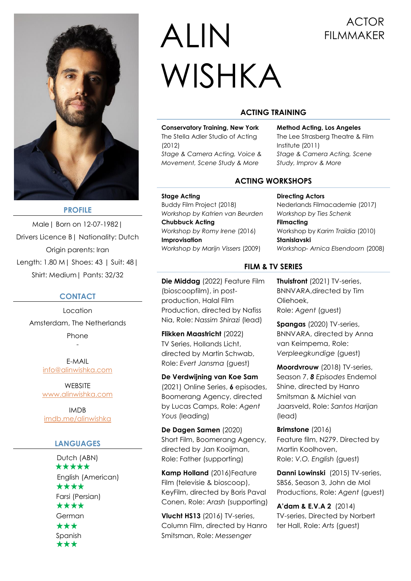

## **PROFILE**

Male| Born on 12-07-1982| Drivers Licence B| Nationality: Dutch Origin parents: Iran Length: 1.80 M| Shoes: 43 | Suit: 48| Shirt: Medium| Pants: 32/32

#### **CONTACT**

Location Amsterdam, The Netherlands Phone -

> E-MAIL info@alinwishka.com

> **WEBSITE** [www.alinwishka.com](http://www.alinwishka.com/)

IMDB [imdb.me/alinwishka](http://imdb.me/alinwishka)

# **LANGUAGES**

Dutch (ABN) \*\*\*\*\* English (American) \*\*\*\* Farsi (Persian) \*\*\*\* German \*\*\* Spanish \*\*\*

# ALIN ACTOR WISHKA

# **ACTING TRAINING**

**Conservatory Training, New York** The Stella Adler Studio of Acting (2012) *Stage & Camera Acting, Voice & Movement, Scene Study & More*

**Method Acting, Los Angeles**  The Lee Strasberg Theatre & Film Institute (2011) *Stage & Camera Acting, Scene Study, Improv & More* 

# **ACTING WORKSHOPS**

**Stage Acting**  Buddy Film Project (2018) *Workshop by Katrien van Beurden* **Chubbuck Acting**  *Workshop by Romy Irene* (2016) **Improvisation** *Workshop by Marijn Vissers* (2009)

**Directing Actors**  Nederlands Filmacademie (2017) *Workshop by Ties Schenk* **Filmacting**  Workshop by *Karim Traïdia* (2010) **Stanislavski** *Workshop- Arnica Elsendoorn* (2008)

**Die Middag** (2022) Feature Film (bioscoopfilm), in postproduction, Halal Film Production, directed by Nafiss Nia, Role: *Nassim Shirazi* (lead)

**Flikken Maastricht** (2022) TV Series, Hollands Licht, directed by Martin Schwab, Role: *Evert Jansma* (guest)

**De Verdwijning van Koe Sam**  (2021) Online Series, **6** episodes, Boomerang Agency, directed by Lucas Camps, Role: *Agent Yous* (leading)

**De Dagen Samen** (2020) Short Film, Boomerang Agency, directed by Jan Kooijman, Role: Father (supporting)

**Kamp Holland** (2016)Feature Film (televisie & bioscoop), KeyFilm, directed by Boris Paval Conen, Role: *Arash* (supporting)

**Vlucht HS13** (2016) TV-series, Column Film, directed by Hanro Smitsman, Role: *Messenger*

#### **FILM & TV SERIES**

**Thuisfront** (2021) TV-series, BNNVARA,directed by Tim Oliehoek, Role: *Agent* (guest)

**Spangas** (2020) TV-series, BNNVARA, directed by Anna van Keimpema, Role: *Verpleegkundige* (guest)

**Moordvrouw** (2018) TV-series, Season 7, *8 Episodes* Endemol Shine, directed by Hanro Smitsman & Michiel van Jaarsveld, Role: *Santos Harijan* (lead)

**Brimstone** (2016) Feature film, N279. Directed by Martin Koolhoven, Role: *V.O. English* (guest)

**Danni Lowinski** (2015) TV-series, SBS6, Season 3, John de Mol Productions, Role: *Agent* (guest)

**A'dam & E.V.A 2** (2014) TV-series, Directed by Norbert ter Hall, Role: *Arts* (guest)